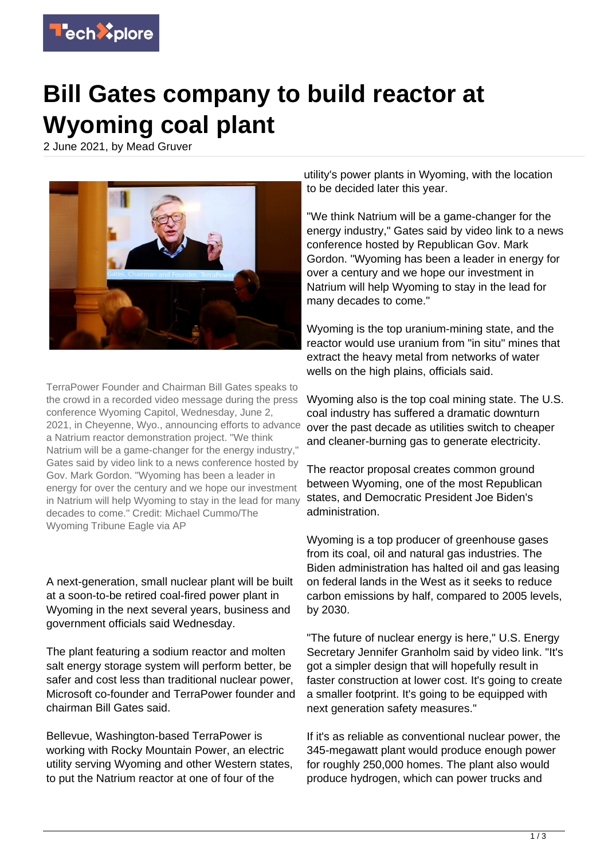

## **Bill Gates company to build reactor at Wyoming coal plant**

2 June 2021, by Mead Gruver



TerraPower Founder and Chairman Bill Gates speaks to the crowd in a recorded video message during the press conference Wyoming Capitol, Wednesday, June 2, 2021, in Cheyenne, Wyo., announcing efforts to advance a Natrium reactor demonstration project. "We think Natrium will be a game-changer for the energy industry," Gates said by video link to a news conference hosted by Gov. Mark Gordon. "Wyoming has been a leader in energy for over the century and we hope our investment in Natrium will help Wyoming to stay in the lead for many decades to come." Credit: Michael Cummo/The Wyoming Tribune Eagle via AP

A next-generation, small nuclear plant will be built at a soon-to-be retired coal-fired power plant in Wyoming in the next several years, business and government officials said Wednesday.

The plant featuring a sodium reactor and molten salt energy storage system will perform better, be safer and cost less than traditional nuclear power, Microsoft co-founder and TerraPower founder and chairman Bill Gates said.

Bellevue, Washington-based TerraPower is working with Rocky Mountain Power, an electric utility serving Wyoming and other Western states, to put the Natrium reactor at one of four of the

utility's power plants in Wyoming, with the location to be decided later this year.

"We think Natrium will be a game-changer for the energy industry," Gates said by video link to a news conference hosted by Republican Gov. Mark Gordon. "Wyoming has been a leader in energy for over a century and we hope our investment in Natrium will help Wyoming to stay in the lead for many decades to come."

Wyoming is the top uranium-mining state, and the reactor would use uranium from "in situ" mines that extract the heavy metal from networks of water wells on the high plains, officials said.

Wyoming also is the top coal mining state. The U.S. coal industry has suffered a dramatic downturn over the past decade as utilities switch to cheaper and cleaner-burning gas to generate electricity.

The reactor proposal creates common ground between Wyoming, one of the most Republican states, and Democratic President Joe Biden's administration.

Wyoming is a top producer of greenhouse gases from its coal, oil and natural gas industries. The Biden administration has halted oil and gas leasing on federal lands in the West as it seeks to reduce carbon emissions by half, compared to 2005 levels, by 2030.

"The future of nuclear energy is here," U.S. Energy Secretary Jennifer Granholm said by video link. "It's got a simpler design that will hopefully result in faster construction at lower cost. It's going to create a smaller footprint. It's going to be equipped with next generation safety measures."

If it's as reliable as conventional nuclear power, the 345-megawatt plant would produce enough power for roughly 250,000 homes. The plant also would produce hydrogen, which can power trucks and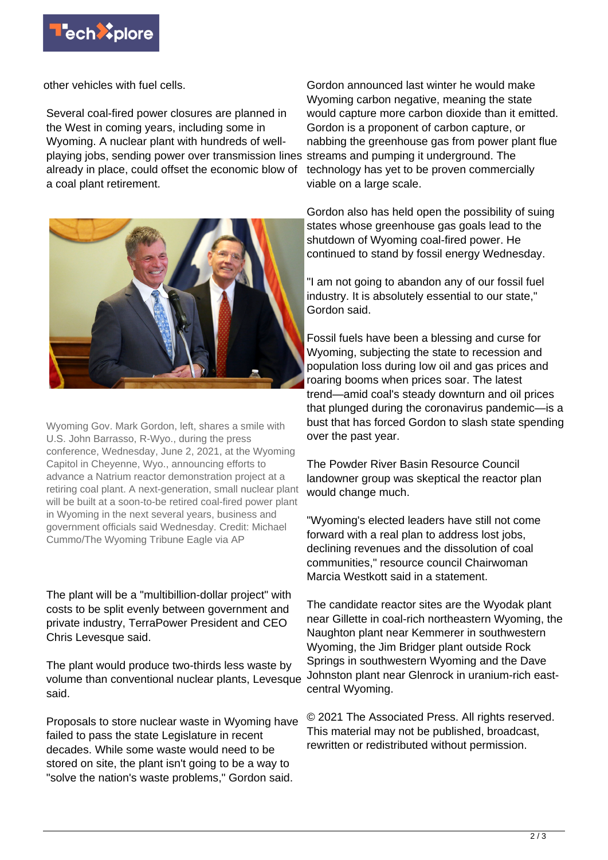

other vehicles with fuel cells.

Several coal-fired power closures are planned in the West in coming years, including some in Wyoming. A nuclear plant with hundreds of wellplaying jobs, sending power over transmission lines already in place, could offset the economic blow of a coal plant retirement.



Wyoming Gov. Mark Gordon, left, shares a smile with U.S. John Barrasso, R-Wyo., during the press conference, Wednesday, June 2, 2021, at the Wyoming Capitol in Cheyenne, Wyo., announcing efforts to advance a Natrium reactor demonstration project at a retiring coal plant. A next-generation, small nuclear plant will be built at a soon-to-be retired coal-fired power plant in Wyoming in the next several years, business and government officials said Wednesday. Credit: Michael Cummo/The Wyoming Tribune Eagle via AP

The plant will be a "multibillion-dollar project" with costs to be split evenly between government and private industry, TerraPower President and CEO Chris Levesque said.

The plant would produce two-thirds less waste by volume than conventional nuclear plants, Levesque said.

Proposals to store nuclear waste in Wyoming have failed to pass the state Legislature in recent decades. While some waste would need to be stored on site, the plant isn't going to be a way to "solve the nation's waste problems," Gordon said.

Gordon announced last winter he would make Wyoming carbon negative, meaning the state would capture more carbon dioxide than it emitted. Gordon is a proponent of carbon capture, or nabbing the greenhouse gas from power plant flue streams and pumping it underground. The technology has yet to be proven commercially viable on a large scale.

Gordon also has held open the possibility of suing states whose greenhouse gas goals lead to the shutdown of Wyoming coal-fired power. He continued to stand by fossil energy Wednesday.

"I am not going to abandon any of our fossil fuel industry. It is absolutely essential to our state," Gordon said.

Fossil fuels have been a blessing and curse for Wyoming, subjecting the state to recession and population loss during low oil and gas prices and roaring booms when prices soar. The latest trend—amid coal's steady downturn and oil prices that plunged during the coronavirus pandemic—is a bust that has forced Gordon to slash state spending over the past year.

The Powder River Basin Resource Council landowner group was skeptical the reactor plan would change much.

"Wyoming's elected leaders have still not come forward with a real plan to address lost jobs, declining revenues and the dissolution of coal communities," resource council Chairwoman Marcia Westkott said in a statement.

The candidate reactor sites are the Wyodak plant near Gillette in coal-rich northeastern Wyoming, the Naughton plant near Kemmerer in southwestern Wyoming, the Jim Bridger plant outside Rock Springs in southwestern Wyoming and the Dave Johnston plant near Glenrock in uranium-rich eastcentral Wyoming.

© 2021 The Associated Press. All rights reserved. This material may not be published, broadcast, rewritten or redistributed without permission.